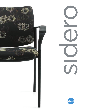



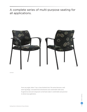A complete series of multi-purpose seating for all applications.



Armchair

From any angle, Sidero™ has a clean finished look. The series features a wall saver leg design, concealed back attachments and comfortable wide arms. Its generous seat and compound curved back make it comfortable and practical in almost any application.

sidero seating sidero seating global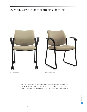# Durable without compromising comfort.



Armchair with casters and the state of the state of the state of the state of the state of the state of the state of the state of the state of the state of the state of the state of the state of the state of the state of t

The wide arms offer exceptional durability because they are made from fiberglass reinforced nylon, one of the strongest polymers in the marketplace. Sidero will provide many years of trouble-free use and is covered by Global's Lifetime Warranty.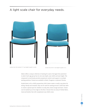## A light scale chair for everyday needs.



Armless chair with standard 17.5" seat height for grade 5 to adult. Armless chair with 15" seat height for grades 2 to 4.



Sidero offers a unique collection of seating for users of all ages from preschool to adult. Each age group has its own seat depth, seat width and seat height. The compound curved backs provide exceptional comfort and support in multiple seating positions. Frames are available in Black, Tungsten or optional Chrome.

Scaled down to fit a child's proportions, kid's chairs create a comfy, cozy place for sitting. Handy and versatile, they can be used for seating around a child-size table to create a special spot for children to study, dine, draw, lounge and learn. Chairs can be stacked up to four high on the floor. Choose from an array of Global fabric, vinyl and leather that will complement any child's room.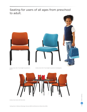## Seating for users of all ages from preschool to adult.



Armless chair with 13" seat height for preschool to grade 2.

Armless chair with 10" seat height for preschool to kindergarten.



Armless chair, shown with Wind table.